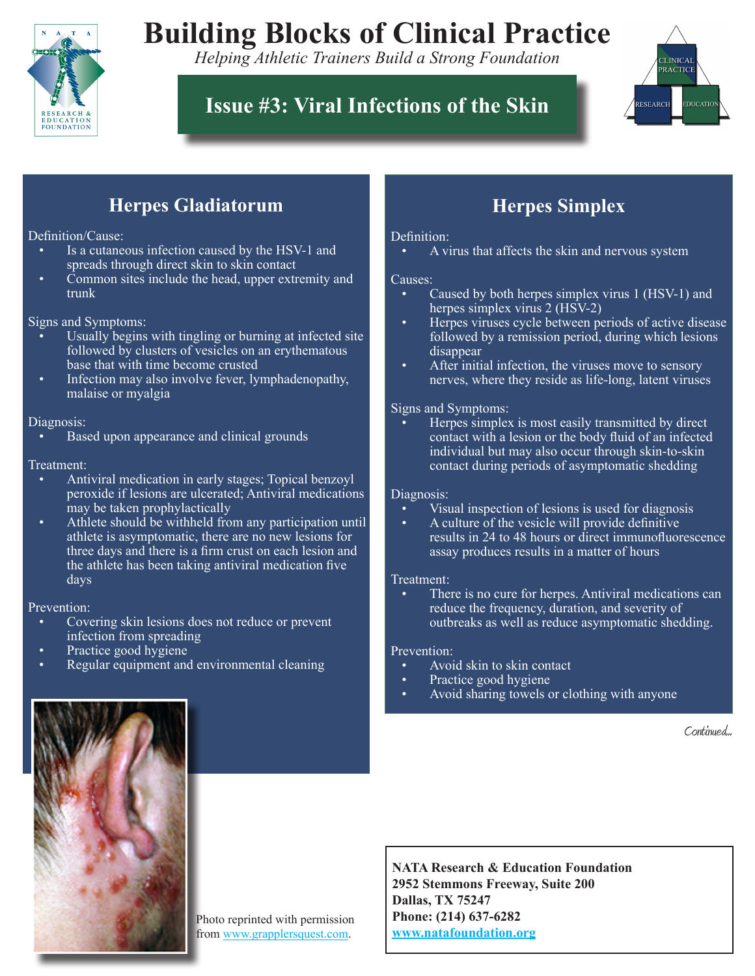

# **Building Blocks of Clinical Practice**

*Helping Athletic Trainers Build a Strong Foundation*

# **Issue #3: Viral Infections of the Skin**



# **Herpes Gladiatorum**

## Definition/Cause:

- Is a cutaneous infection caused by the HSV-1 and spreads through direct skin to skin contact
- Common sites include the head, upper extremity and trunk

### Signs and Symptoms:

- Usually begins with tingling or burning at infected site followed by clusters of vesicles on an erythematous base that with time become crusted
- Infection may also involve fever, lymphadenopathy, malaise or myalgia

### Diagnosis:

Based upon appearance and clinical grounds

# Treatment:

- Antiviral medication in early stages; Topical benzoyl peroxide if lesions are ulcerated; Antiviral medications may be taken prophylactically
- Athlete should be withheld from any participation until athlete is asymptomatic, there are no new lesions for three days and there is a firm crust on each lesion and the athlete has been taking antiviral medication five days

### Prevention:

- Covering skin lesions does not reduce or prevent infection from spreading
- Practice good hygiene
- Regular equipment and environmental cleaning

# **Herpes Simplex**

# Definition:

A virus that affects the skin and nervous system

#### Causes:

- Caused by both herpes simplex virus 1 (HSV-1) and herpes simplex virus 2 (HSV-2)
- Herpes viruses cycle between periods of active disease followed by a remission period, during which lesions disappear
- After initial infection, the viruses move to sensory nerves, where they reside as life-long, latent viruses

### Signs and Symptoms:

Herpes simplex is most easily transmitted by direct contact with a lesion or the body fluid of an infected individual but may also occur through skin-to-skin contact during periods of asymptomatic shedding

# Diagnosis:

- Visual inspection of lesions is used for diagnosis
- A culture of the vesicle will provide definitive results in 24 to 48 hours or direct immunofluorescence assay produces results in a matter of hours

### Treatment:

There is no cure for herpes. Antiviral medications can reduce the frequency, duration, and severity of outbreaks as well as reduce asymptomatic shedding.

### Prevention:

- Avoid skin to skin contact
- Practice good hygiene
- Avoid sharing towels or clothing with anyone

Continued...



Photo reprinted with permission from www.grapplersquest.com.

**NATA Research & Education Foundation 2952 Stemmons Freeway, Suite 200 Dallas, TX 75247 Phone: (214) 637-6282 www.natafoundation.org**